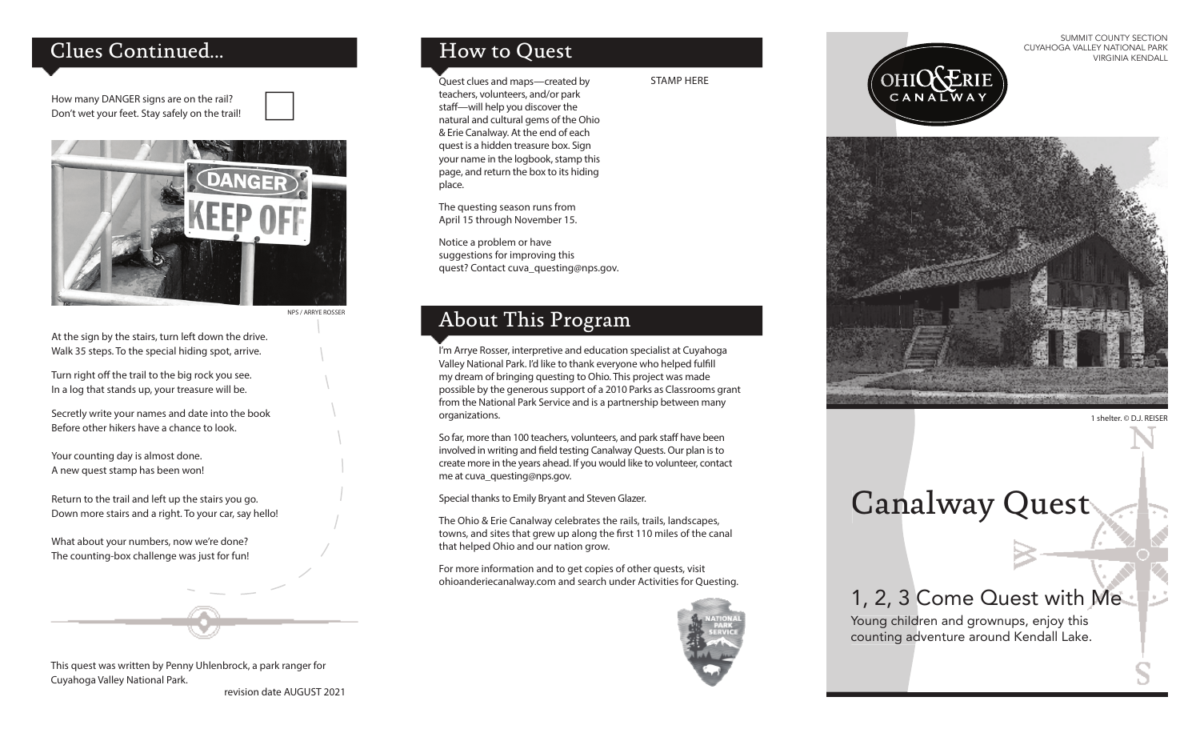### Clues Continued...

How many DANGER signs are on the rail? Don't wet your feet. Stay safely on the trail!



NPS / ARRYE ROSSER

At the sign by the stairs, turn left down the drive. Walk 35 steps. To the special hiding spot, arrive.

Turn right off the trail to the big rock you see. In a log that stands up, your treasure will be.

Secretly write your names and date into the book Before other hikers have a chance to look.

Your counting day is almost done. A new quest stamp has been won!

Return to the trail and left up the stairs you go. Down more stairs and a right. To your car, say hello!

What about your numbers, now we're done? The counting-box challenge was just for fun!

### This quest was written by Penny Uhlenbrock, a park ranger for Cuyahoga Valley National Park.

revision date AUGUST 2021

# How to Quest

Quest clues and maps—created by teachers, volunteers, and/or park staff-will help you discover the natural and cultural gems of the Ohio & Erie Canalway. At the end of each quest is a hidden treasure box. Sign your name in the logbook, stamp this page, and return the box to its hiding place.

The questing season runs from April 15 through November 15.

Notice a problem or have suggestions for improving this quest? Contact cuva\_questing@nps.gov.

### About This Program

I'm Arrye Rosser, interpretive and education specialist at Cuyahoga Valley National Park. I'd like to thank everyone who helped fulfill my dream of bringing questing to Ohio. This project was made possible by the generous support of a 2010 Parks as Classrooms grant from the National Park Service and is a partnership between many organizations.

So far, more than 100 teachers, volunteers, and park staff have been involved in writing and field testing Canalway Quests. Our plan is to create more in the years ahead. If you would like to volunteer, contact me at cuva\_questing@nps.gov.

Special thanks to Emily Bryant and Steven Glazer.

The Ohio & Erie Canalway celebrates the rails, trails, landscapes, towns, and sites that grew up along the first 110 miles of the canal that helped Ohio and our nation grow.

For more information and to get copies of other quests, visit ohioanderiecanalway.com and search under Activities for Questing.



STAMP HERE

SUMMIT COUNTY SECTION CUYAHOGA VALLEY NATIONAL PARK VIRGINIA KENDALL





1 shelter. © D.J. REISER

# Canalway Quest

# 1, 2, 3 Come Quest with Me

Young children and grownups, enjoy this counting adventure around Kendall Lake.